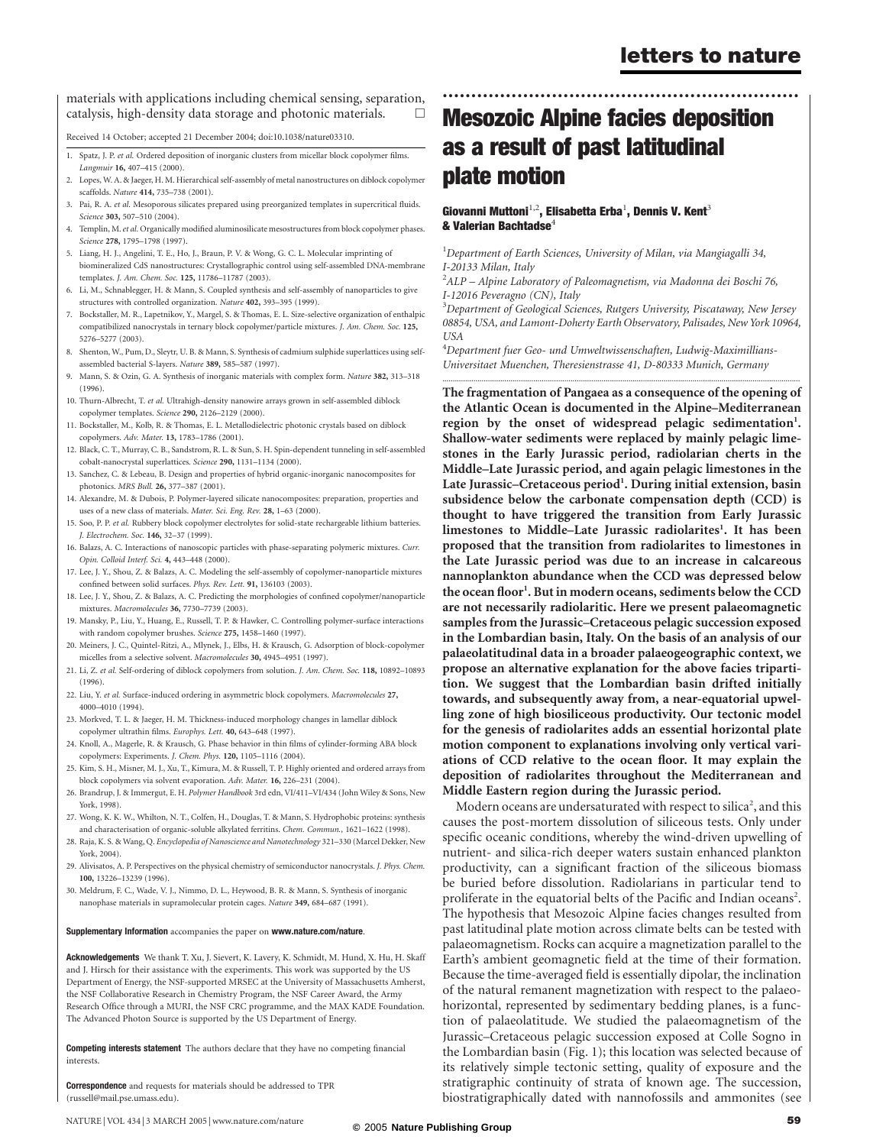materials with applications including chemical sensing, separation, catalysis, high-density data storage and photonic materials.  $\Box$ 

Received 14 October; accepted 21 December 2004; doi:10.1038/nature03310.

- 1. Spatz, J. P. et al. Ordered deposition of inorganic clusters from micellar block copolymer films. Langmuir 16, 407-415 (2000).
- 2. Lopes, W. A. & Jaeger, H. M. Hierarchical self-assembly of metal nanostructures on diblock copolymer scaffolds. Nature 414, 735–738 (2001).
- 3. Pai, R. A. et al. Mesoporous silicates prepared using preorganized templates in supercritical fluids. Science 303, 507–510 (2004).
- 4. Templin, M.et al. Organically modified aluminosilicate mesostructures from block copolymer phases. Science 278, 1795–1798 (1997).
- 5. Liang, H. J., Angelini, T. E., Ho, J., Braun, P. V. & Wong, G. C. L. Molecular imprinting of biomineralized CdS nanostructures: Crystallographic control using self-assembled DNA-membrane templates. J. Am. Chem. Soc. 125, 11786–11787 (2003).
- 6. Li, M., Schnablegger, H. & Mann, S. Coupled synthesis and self-assembly of nanoparticles to give structures with controlled organization. Nature 402, 393–395 (1999).
- 7. Bockstaller, M. R., Lapetnikov, Y., Margel, S. & Thomas, E. L. Size-selective organization of enthalpic compatibilized nanocrystals in ternary block copolymer/particle mixtures. J. Am. Chem. Soc. 125, 5276–5277 (2003).
- 8. Shenton, W., Pum, D., Sleytr, U. B. & Mann, S. Synthesis of cadmium sulphide superlattices using selfassembled bacterial S-layers. Nature 389, 585–587 (1997).
- 9. Mann, S. & Ozin, G. A. Synthesis of inorganic materials with complex form. Nature 382, 313–318 (1996).
- 10. Thurn-Albrecht, T. et al. Ultrahigh-density nanowire arrays grown in self-assembled diblock copolymer templates. Science 290, 2126–2129 (2000).
- 11. Bockstaller, M., Kolb, R. & Thomas, E. L. Metallodielectric photonic crystals based on diblock copolymers. Adv. Mater. 13, 1783–1786 (2001).
- 12. Black, C. T., Murray, C. B., Sandstrom, R. L. & Sun, S. H. Spin-dependent tunneling in self-assembled cobalt-nanocrystal superlattices. Science 290, 1131–1134 (2000).
- 13. Sanchez, C. & Lebeau, B. Design and properties of hybrid organic-inorganic nanocomposites for photonics. MRS Bull. 26, 377–387 (2001).
- 14. Alexandre, M. & Dubois, P. Polymer-layered silicate nanocomposites: preparation, properties and uses of a new class of materials. Mater. Sci. Eng. Rev. 28, 1–63 (2000).
- 15. Soo, P. P. et al. Rubbery block copolymer electrolytes for solid-state rechargeable lithium batteries. J. Electrochem. Soc. 146, 32–37 (1999).
- 16. Balazs, A. C. Interactions of nanoscopic particles with phase-separating polymeric mixtures. Curr. Opin. Colloid Interf. Sci. 4, 443–448 (2000).
- 17. Lee, J. Y., Shou, Z. & Balazs, A. C. Modeling the self-assembly of copolymer-nanoparticle mixtures confined between solid surfaces. Phys. Rev. Lett. 91, 136103 (2003).
- 18. Lee, J. Y., Shou, Z. & Balazs, A. C. Predicting the morphologies of confined copolymer/nanoparticle mixtures. Macromolecules 36, 7730–7739 (2003).
- 19. Mansky, P., Liu, Y., Huang, E., Russell, T. P. & Hawker, C. Controlling polymer-surface interactions with random copolymer brushes. Science 275, 1458–1460 (1997).
- 20. Meiners, J. C., Quintel-Ritzi, A., Mlynek, J., Elbs, H. & Krausch, G. Adsorption of block-copolymer micelles from a selective solvent. Macromolecules 30, 4945–4951 (1997).
- 21. Li, Z. et al. Self-ordering of diblock copolymers from solution. J. Am. Chem. Soc. 118, 10892–10893 (1996).
- 22. Liu, Y. et al. Surface-induced ordering in asymmetric block copolymers. Macromolecules 27, 4000–4010 (1994).
- 23. Morkved, T. L. & Jaeger, H. M. Thickness-induced morphology changes in lamellar diblock copolymer ultrathin films. Europhys. Lett. 40, 643–648 (1997).
- 24. Knoll, A., Magerle, R. & Krausch, G. Phase behavior in thin films of cylinder-forming ABA block copolymers: Experiments. J. Chem. Phys. 120, 1105–1116 (2004).
- 25. Kim, S. H., Misner, M. J., Xu, T., Kimura, M. & Russell, T. P. Highly oriented and ordered arrays from block copolymers via solvent evaporation. Adv. Mater. 16, 226–231 (2004).
- 26. Brandrup, J. & Immergut, E. H. Polymer Handbook 3rd edn, VI/411–VI/434 (John Wiley & Sons, New York, 1998).
- 27. Wong, K. K. W., Whilton, N. T., Colfen, H., Douglas, T. & Mann, S. Hydrophobic proteins: synthesis and characterisation of organic-soluble alkylated ferritins. Chem. Commun., 1621-1622 (1998).
- 28. Raja, K. S. & Wang, Q. Encyclopedia of Nanoscience and Nanotechnology 321–330 (Marcel Dekker, New York, 2004).
- 29. Alivisatos, A. P. Perspectives on the physical chemistry of semiconductor nanocrystals. J. Phys. Chem. 100, 13226–13239 (1996).
- 30. Meldrum, F. C., Wade, V. J., Nimmo, D. L., Heywood, B. R. & Mann, S. Synthesis of inorganic nanophase materials in supramolecular protein cages. Nature 349, 684–687 (1991).

#### Supplementary Information accompanies the paper on www.nature.com/nature.

Acknowledgements We thank T. Xu, J. Sievert, K. Lavery, K. Schmidt, M. Hund, X. Hu, H. Skaff and J. Hirsch for their assistance with the experiments. This work was supported by the US Department of Energy, the NSF-supported MRSEC at the University of Massachusetts Amherst, the NSF Collaborative Research in Chemistry Program, the NSF Career Award, the Army Research Office through a MURI, the NSF CRC programme, and the MAX KADE Foundation. The Advanced Photon Source is supported by the US Department of Energy.

Competing interests statement The authors declare that they have no competing financial interests.

Correspondence and requests for materials should be addressed to TPR (russell@mail.pse.umass.edu).

# Mesozoic Alpine facies deposition as a result of past latitudinal plate motion

..............................................................

### Giovanni Muttoni $^{1,2}$ , Elisabetta Erba $^1$ , Dennis V. Kent $^3$ & Valerian Bachtadse $4$

<sup>1</sup>Department of Earth Sciences, University of Milan, via Mangiagalli 34, I-20133 Milan, Italy

2 ALP – Alpine Laboratory of Paleomagnetism, via Madonna dei Boschi 76, I-12016 Peveragno (CN), Italy

<sup>3</sup>Department of Geological Sciences, Rutgers University, Piscataway, New Jersey 08854, USA, and Lamont-Doherty Earth Observatory, Palisades, New York 10964, **USA** 

.............................................................................................................................................................................

4 Department fuer Geo- und Umweltwissenschaften, Ludwig-Maximillians-Universitaet Muenchen, Theresienstrasse 41, D-80333 Munich, Germany

The fragmentation of Pangaea as a consequence of the opening of the Atlantic Ocean is documented in the Alpine–Mediterranean region by the onset of widespread pelagic sedimentation<sup>1</sup>. Shallow-water sediments were replaced by mainly pelagic limestones in the Early Jurassic period, radiolarian cherts in the Middle–Late Jurassic period, and again pelagic limestones in the Late Jurassic–Cretaceous period<sup>1</sup>. During initial extension, basin subsidence below the carbonate compensation depth (CCD) is thought to have triggered the transition from Early Jurassic limestones to Middle-Late Jurassic radiolarites<sup>1</sup>. It has been proposed that the transition from radiolarites to limestones in the Late Jurassic period was due to an increase in calcareous nannoplankton abundance when the CCD was depressed below the ocean floor<sup>1</sup>. But in modern oceans, sediments below the CCD are not necessarily radiolaritic. Here we present palaeomagnetic samples from the Jurassic–Cretaceous pelagic succession exposed in the Lombardian basin, Italy. On the basis of an analysis of our palaeolatitudinal data in a broader palaeogeographic context, we propose an alternative explanation for the above facies tripartition. We suggest that the Lombardian basin drifted initially towards, and subsequently away from, a near-equatorial upwelling zone of high biosiliceous productivity. Our tectonic model for the genesis of radiolarites adds an essential horizontal plate motion component to explanations involving only vertical variations of CCD relative to the ocean floor. It may explain the deposition of radiolarites throughout the Mediterranean and Middle Eastern region during the Jurassic period.

Modern oceans are undersaturated with respect to silica<sup>2</sup>, and this causes the post-mortem dissolution of siliceous tests. Only under specific oceanic conditions, whereby the wind-driven upwelling of nutrient- and silica-rich deeper waters sustain enhanced plankton productivity, can a significant fraction of the siliceous biomass be buried before dissolution. Radiolarians in particular tend to proliferate in the equatorial belts of the Pacific and Indian oceans<sup>2</sup>. The hypothesis that Mesozoic Alpine facies changes resulted from past latitudinal plate motion across climate belts can be tested with palaeomagnetism. Rocks can acquire a magnetization parallel to the Earth's ambient geomagnetic field at the time of their formation. Because the time-averaged field is essentially dipolar, the inclination of the natural remanent magnetization with respect to the palaeohorizontal, represented by sedimentary bedding planes, is a function of palaeolatitude. We studied the palaeomagnetism of the Jurassic–Cretaceous pelagic succession exposed at Colle Sogno in the Lombardian basin (Fig. 1); this location was selected because of its relatively simple tectonic setting, quality of exposure and the stratigraphic continuity of strata of known age. The succession, biostratigraphically dated with nannofossils and ammonites (see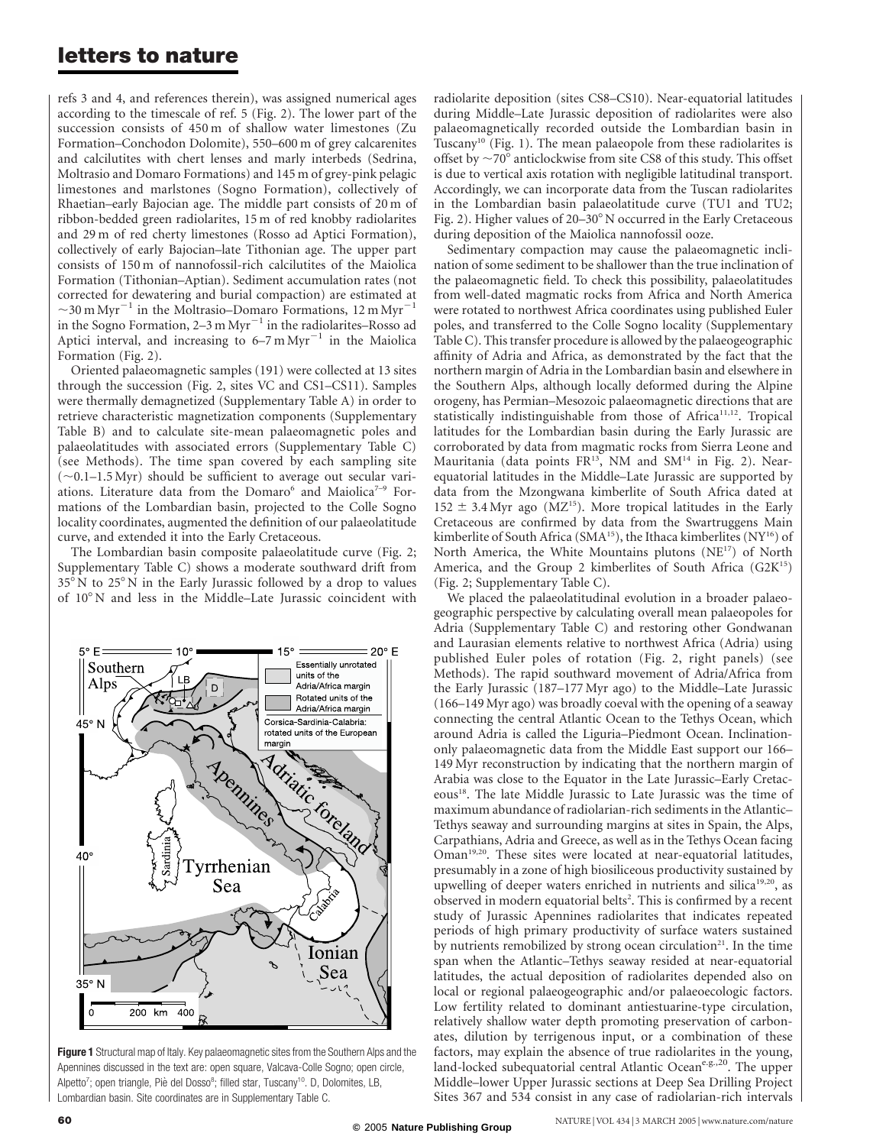### letters to nature

refs 3 and 4, and references therein), was assigned numerical ages according to the timescale of ref. 5 (Fig. 2). The lower part of the succession consists of 450 m of shallow water limestones (Zu Formation–Conchodon Dolomite), 550–600 m of grey calcarenites and calcilutites with chert lenses and marly interbeds (Sedrina, Moltrasio and Domaro Formations) and 145 m of grey-pink pelagic limestones and marlstones (Sogno Formation), collectively of Rhaetian–early Bajocian age. The middle part consists of 20 m of ribbon-bedded green radiolarites, 15 m of red knobby radiolarites and 29 m of red cherty limestones (Rosso ad Aptici Formation), collectively of early Bajocian–late Tithonian age. The upper part consists of 150 m of nannofossil-rich calcilutites of the Maiolica Formation (Tithonian–Aptian). Sediment accumulation rates (not corrected for dewatering and burial compaction) are estimated at  $\sim$ 30 m Myr<sup>-1</sup> in the Moltrasio–Domaro Formations, 12 m Myr<sup>-1</sup> in the Sogno Formation,  $2-3$  m Myr $^{-1}$  in the radiolarites–Rosso ad Aptici interval, and increasing to  $6-7 \text{ m Myr}^{-1}$  in the Maiolica Formation (Fig. 2).

Oriented palaeomagnetic samples (191) were collected at 13 sites through the succession (Fig. 2, sites VC and CS1–CS11). Samples were thermally demagnetized (Supplementary Table A) in order to retrieve characteristic magnetization components (Supplementary Table B) and to calculate site-mean palaeomagnetic poles and palaeolatitudes with associated errors (Supplementary Table C) (see Methods). The time span covered by each sampling site  $(-0.1-1.5 \text{ Myr})$  should be sufficient to average out secular variations. Literature data from the Domaro<sup>6</sup> and Maiolica<sup>7-9</sup> Formations of the Lombardian basin, projected to the Colle Sogno locality coordinates, augmented the definition of our palaeolatitude curve, and extended it into the Early Cretaceous.

The Lombardian basin composite palaeolatitude curve (Fig. 2; Supplementary Table C) shows a moderate southward drift from  $35^{\circ}$ N to  $25^{\circ}$ N in the Early Jurassic followed by a drop to values of 10°N and less in the Middle–Late Jurassic coincident with



Figure 1 Structural map of Italy. Key palaeomagnetic sites from the Southern Alps and the Apennines discussed in the text are: open square, Valcava-Colle Sogno; open circle, Alpetto<sup>7</sup>; open triangle, Piè del Dosso<sup>8</sup>; filled star, Tuscany<sup>10</sup>. D, Dolomites, LB, Lombardian basin. Site coordinates are in Supplementary Table C.

radiolarite deposition (sites CS8–CS10). Near-equatorial latitudes during Middle–Late Jurassic deposition of radiolarites were also palaeomagnetically recorded outside the Lombardian basin in Tuscany<sup>10</sup> (Fig. 1). The mean palaeopole from these radiolarites is offset by  $\sim$  70 $\degree$  anticlockwise from site CS8 of this study. This offset is due to vertical axis rotation with negligible latitudinal transport. Accordingly, we can incorporate data from the Tuscan radiolarites in the Lombardian basin palaeolatitude curve (TU1 and TU2; Fig. 2). Higher values of  $20-30^{\circ}$  N occurred in the Early Cretaceous during deposition of the Maiolica nannofossil ooze.

Sedimentary compaction may cause the palaeomagnetic inclination of some sediment to be shallower than the true inclination of the palaeomagnetic field. To check this possibility, palaeolatitudes from well-dated magmatic rocks from Africa and North America were rotated to northwest Africa coordinates using published Euler poles, and transferred to the Colle Sogno locality (Supplementary Table C). This transfer procedure is allowed by the palaeogeographic affinity of Adria and Africa, as demonstrated by the fact that the northern margin of Adria in the Lombardian basin and elsewhere in the Southern Alps, although locally deformed during the Alpine orogeny, has Permian–Mesozoic palaeomagnetic directions that are statistically indistinguishable from those of Africa<sup>11,12</sup>. Tropical latitudes for the Lombardian basin during the Early Jurassic are corroborated by data from magmatic rocks from Sierra Leone and Mauritania (data points  $FR^{13}$ , NM and  $SM^{14}$  in Fig. 2). Nearequatorial latitudes in the Middle–Late Jurassic are supported by data from the Mzongwana kimberlite of South Africa dated at  $152 \pm 3.4$  Myr ago (MZ<sup>15</sup>). More tropical latitudes in the Early Cretaceous are confirmed by data from the Swartruggens Main kimberlite of South Africa (SMA<sup>15</sup>), the Ithaca kimberlites (NY<sup>16</sup>) of North America, the White Mountains plutons (NE17) of North America, and the Group 2 kimberlites of South Africa  $(G2K<sup>15</sup>)$ (Fig. 2; Supplementary Table C).

We placed the palaeolatitudinal evolution in a broader palaeogeographic perspective by calculating overall mean palaeopoles for Adria (Supplementary Table C) and restoring other Gondwanan and Laurasian elements relative to northwest Africa (Adria) using published Euler poles of rotation (Fig. 2, right panels) (see Methods). The rapid southward movement of Adria/Africa from the Early Jurassic (187–177 Myr ago) to the Middle–Late Jurassic (166–149 Myr ago) was broadly coeval with the opening of a seaway connecting the central Atlantic Ocean to the Tethys Ocean, which around Adria is called the Liguria–Piedmont Ocean. Inclinationonly palaeomagnetic data from the Middle East support our 166– 149 Myr reconstruction by indicating that the northern margin of Arabia was close to the Equator in the Late Jurassic–Early Cretaceous<sup>18</sup>. The late Middle Jurassic to Late Jurassic was the time of maximum abundance of radiolarian-rich sediments in the Atlantic– Tethys seaway and surrounding margins at sites in Spain, the Alps, Carpathians, Adria and Greece, as well as in the Tethys Ocean facing Oman<sup>19,20</sup>. These sites were located at near-equatorial latitudes, presumably in a zone of high biosiliceous productivity sustained by upwelling of deeper waters enriched in nutrients and silica<sup>19,20</sup>, as observed in modern equatorial belts<sup>2</sup>. This is confirmed by a recent study of Jurassic Apennines radiolarites that indicates repeated periods of high primary productivity of surface waters sustained by nutrients remobilized by strong ocean circulation $21$ . In the time span when the Atlantic–Tethys seaway resided at near-equatorial latitudes, the actual deposition of radiolarites depended also on local or regional palaeogeographic and/or palaeoecologic factors. Low fertility related to dominant antiestuarine-type circulation, relatively shallow water depth promoting preservation of carbonates, dilution by terrigenous input, or a combination of these factors, may explain the absence of true radiolarites in the young, land-locked subequatorial central Atlantic Oceane.g.,20. The upper Middle–lower Upper Jurassic sections at Deep Sea Drilling Project Sites 367 and 534 consist in any case of radiolarian-rich intervals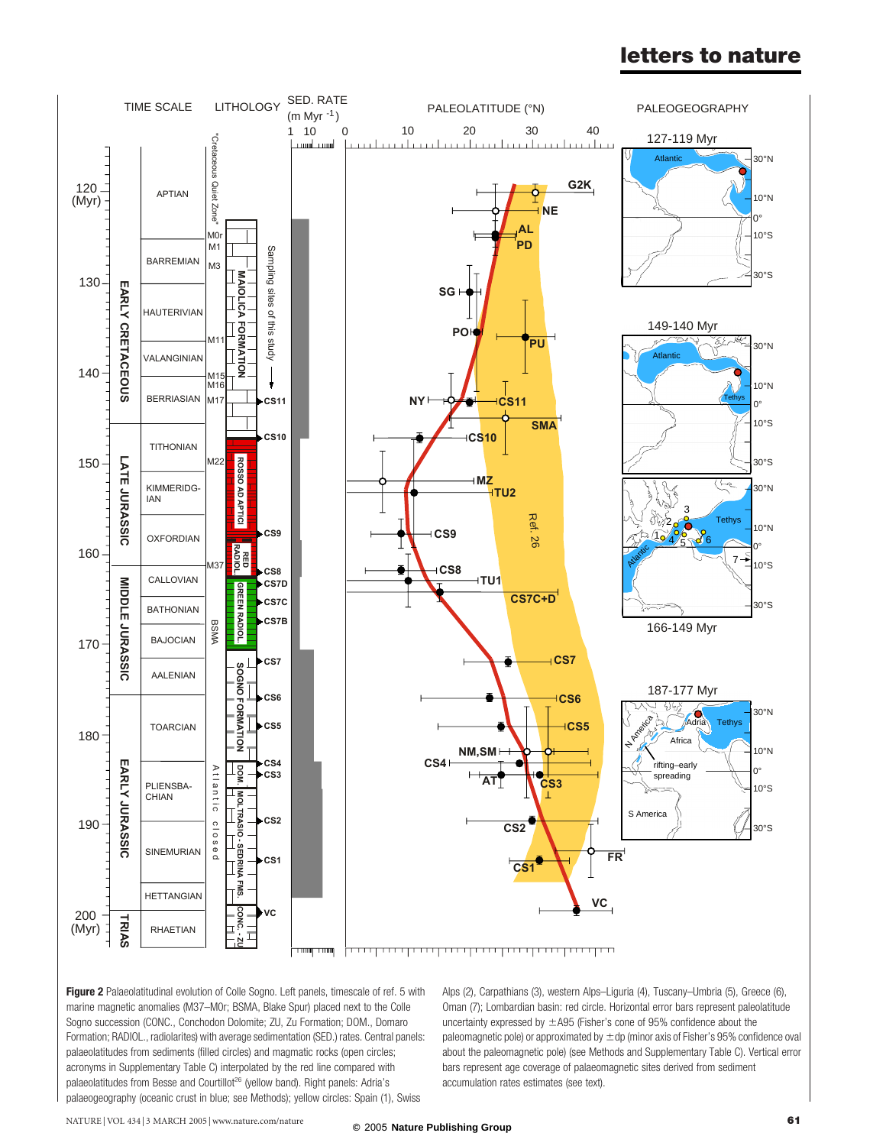### letters to nature



Figure 2 Palaeolatitudinal evolution of Colle Sogno. Left panels, timescale of ref. 5 with marine magnetic anomalies (M37–M0r; BSMA, Blake Spur) placed next to the Colle Sogno succession (CONC., Conchodon Dolomite; ZU, Zu Formation; DOM., Domaro Formation; RADIOL., radiolarites) with average sedimentation (SED.) rates. Central panels: palaeolatitudes from sediments (filled circles) and magmatic rocks (open circles; acronyms in Supplementary Table C) interpolated by the red line compared with palaeolatitudes from Besse and Courtillot<sup>26</sup> (yellow band). Right panels: Adria's palaeogeography (oceanic crust in blue; see Methods); yellow circles: Spain (1), Swiss

Alps (2), Carpathians (3), western Alps–Liguria (4), Tuscany–Umbria (5), Greece (6), Oman (7); Lombardian basin: red circle. Horizontal error bars represent paleolatitude uncertainty expressed by  $\pm$ A95 (Fisher's cone of 95% confidence about the paleomagnetic pole) or approximated by  $\pm$ dp (minor axis of Fisher's 95% confidence oval about the paleomagnetic pole) (see Methods and Supplementary Table C). Vertical error bars represent age coverage of palaeomagnetic sites derived from sediment accumulation rates estimates (see text).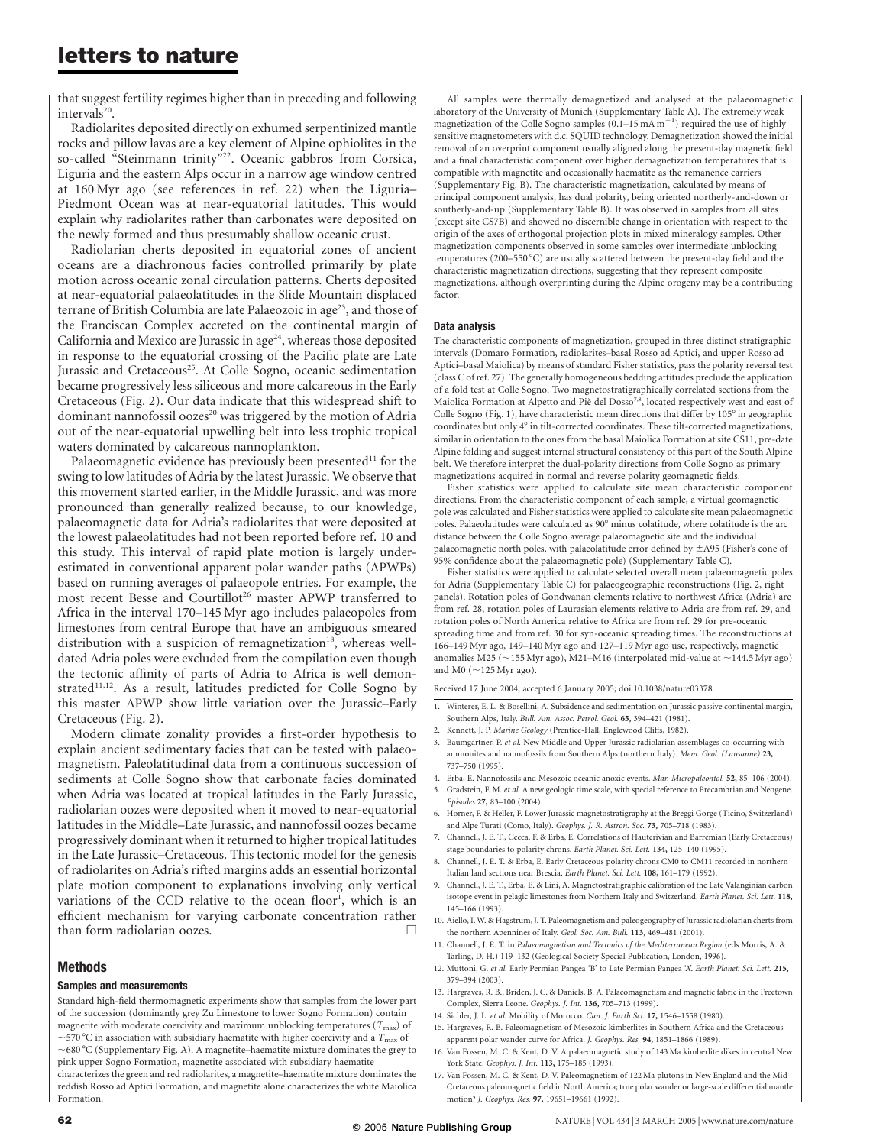### letters to nature

that suggest fertility regimes higher than in preceding and following intervals<sup>20</sup>.

Radiolarites deposited directly on exhumed serpentinized mantle rocks and pillow lavas are a key element of Alpine ophiolites in the so-called "Steinmann trinity"<sup>22</sup>. Oceanic gabbros from Corsica, Liguria and the eastern Alps occur in a narrow age window centred at 160 Myr ago (see references in ref. 22) when the Liguria– Piedmont Ocean was at near-equatorial latitudes. This would explain why radiolarites rather than carbonates were deposited on the newly formed and thus presumably shallow oceanic crust.

Radiolarian cherts deposited in equatorial zones of ancient oceans are a diachronous facies controlled primarily by plate motion across oceanic zonal circulation patterns. Cherts deposited at near-equatorial palaeolatitudes in the Slide Mountain displaced terrane of British Columbia are late Palaeozoic in age<sup>23</sup>, and those of the Franciscan Complex accreted on the continental margin of California and Mexico are Jurassic in age<sup>24</sup>, whereas those deposited in response to the equatorial crossing of the Pacific plate are Late Jurassic and Cretaceous<sup>25</sup>. At Colle Sogno, oceanic sedimentation became progressively less siliceous and more calcareous in the Early Cretaceous (Fig. 2). Our data indicate that this widespread shift to dominant nannofossil oozes<sup>20</sup> was triggered by the motion of Adria out of the near-equatorial upwelling belt into less trophic tropical waters dominated by calcareous nannoplankton.

Palaeomagnetic evidence has previously been presented $11$  for the swing to low latitudes of Adria by the latest Jurassic. We observe that this movement started earlier, in the Middle Jurassic, and was more pronounced than generally realized because, to our knowledge, palaeomagnetic data for Adria's radiolarites that were deposited at the lowest palaeolatitudes had not been reported before ref. 10 and this study. This interval of rapid plate motion is largely underestimated in conventional apparent polar wander paths (APWPs) based on running averages of palaeopole entries. For example, the most recent Besse and Courtillot<sup>26</sup> master APWP transferred to Africa in the interval 170–145 Myr ago includes palaeopoles from limestones from central Europe that have an ambiguous smeared distribution with a suspicion of remagnetization<sup>18</sup>, whereas welldated Adria poles were excluded from the compilation even though the tectonic affinity of parts of Adria to Africa is well demonstrated<sup>11,12</sup>. As a result, latitudes predicted for Colle Sogno by this master APWP show little variation over the Jurassic–Early Cretaceous (Fig. 2).

Modern climate zonality provides a first-order hypothesis to explain ancient sedimentary facies that can be tested with palaeomagnetism. Paleolatitudinal data from a continuous succession of sediments at Colle Sogno show that carbonate facies dominated when Adria was located at tropical latitudes in the Early Jurassic, radiolarian oozes were deposited when it moved to near-equatorial latitudes in the Middle–Late Jurassic, and nannofossil oozes became progressively dominant when it returned to higher tropical latitudes in the Late Jurassic–Cretaceous. This tectonic model for the genesis of radiolarites on Adria's rifted margins adds an essential horizontal plate motion component to explanations involving only vertical variations of the CCD relative to the ocean floor<sup>1</sup>, which is an efficient mechanism for varying carbonate concentration rather than form radiolarian oozes.

### Methods

#### Samples and measurements

Standard high-field thermomagnetic experiments show that samples from the lower part of the succession (dominantly grey Zu Limestone to lower Sogno Formation) contain magnetite with moderate coercivity and maximum unblocking temperatures  $(T_{\mathrm{max}})$  of

~570 °C in association with subsidiary haematite with higher coercivity and a  $T_{\text{max}}$  of  $~680$  °C (Supplementary Fig. A). A magnetite–haematite mixture dominates the grey to pink upper Sogno Formation, magnetite associated with subsidiary haematite

characterizes the green and red radiolarites, a magnetite–haematite mixture dominates the reddish Rosso ad Aptici Formation, and magnetite alone characterizes the white Maiolica Formation.

All samples were thermally demagnetized and analysed at the palaeomagnetic laboratory of the University of Munich (Supplementary Table A). The extremely weak magnetization of the Colle Sogno samples  $(0.1-15 \text{ mA m}^{-1})$  required the use of highly sensitive magnetometers with d.c. SQUID technology. Demagnetization showed the initial removal of an overprint component usually aligned along the present-day magnetic field and a final characteristic component over higher demagnetization temperatures that is compatible with magnetite and occasionally haematite as the remanence carriers (Supplementary Fig. B). The characteristic magnetization, calculated by means of principal component analysis, has dual polarity, being oriented northerly-and-down or southerly-and-up (Supplementary Table B). It was observed in samples from all sites (except site CS7B) and showed no discernible change in orientation with respect to the origin of the axes of orthogonal projection plots in mixed mineralogy samples. Other magnetization components observed in some samples over intermediate unblocking temperatures (200-550 °C) are usually scattered between the present-day field and the characteristic magnetization directions, suggesting that they represent composite magnetizations, although overprinting during the Alpine orogeny may be a contributing factor.

#### Data analysis

The characteristic components of magnetization, grouped in three distinct stratigraphic intervals (Domaro Formation, radiolarites–basal Rosso ad Aptici, and upper Rosso ad Aptici–basal Maiolica) by means of standard Fisher statistics, pass the polarity reversal test (class C of ref. 27). The generally homogeneous bedding attitudes preclude the application of a fold test at Colle Sogno. Two magnetostratigraphically correlated sections from the Maiolica Formation at Alpetto and Pie` del Dosso<sup>7,8</sup>, located respectively west and east of Colle Sogno (Fig. 1), have characteristic mean directions that differ by  $105^{\circ}$  in geographic coordinates but only 4° in tilt-corrected coordinates. These tilt-corrected magnetizations, similar in orientation to the ones from the basal Maiolica Formation at site CS11, pre-date Alpine folding and suggest internal structural consistency of this part of the South Alpine belt. We therefore interpret the dual-polarity directions from Colle Sogno as primary magnetizations acquired in normal and reverse polarity geomagnetic fields.

Fisher statistics were applied to calculate site mean characteristic component directions. From the characteristic component of each sample, a virtual geomagnetic pole was calculated and Fisher statistics were applied to calculate site mean palaeomagnetic poles. Palaeolatitudes were calculated as 90° minus colatitude, where colatitude is the arc distance between the Colle Sogno average palaeomagnetic site and the individual palaeomagnetic north poles, with palaeolatitude error defined by  $\pm$ A95 (Fisher's cone of 95% confidence about the palaeomagnetic pole) (Supplementary Table C).

Fisher statistics were applied to calculate selected overall mean palaeomagnetic poles for Adria (Supplementary Table C) for palaeogeographic reconstructions (Fig. 2, right panels). Rotation poles of Gondwanan elements relative to northwest Africa (Adria) are from ref. 28, rotation poles of Laurasian elements relative to Adria are from ref. 29, and rotation poles of North America relative to Africa are from ref. 29 for pre-oceanic spreading time and from ref. 30 for syn-oceanic spreading times. The reconstructions at 166–149 Myr ago, 149–140 Myr ago and 127–119 Myr ago use, respectively, magnetic anomalies M25 ( $\sim$ 155 Myr ago), M21–M16 (interpolated mid-value at  $\sim$ 144.5 Myr ago) and M0 ( $\sim$ 125 Myr ago).

Received 17 June 2004; accepted 6 January 2005; doi:10.1038/nature03378.

- 1. Winterer, E. L. & Bosellini, A. Subsidence and sedimentation on Jurassic passive continental margin, Southern Alps, Italy. Bull. Am. Assoc. Petrol. Geol. 65, 394–421 (1981).
- 2. Kennett, J. P. Marine Geology (Prentice-Hall, Englewood Cliffs, 1982).
- 3. Baumgartner, P. et al. New Middle and Upper Jurassic radiolarian assemblages co-occurring with ammonites and nannofossils from Southern Alps (northern Italy). Mem. Geol. (Lausanne) 23, 737–750 (1995).
- 4. Erba, E. Nannofossils and Mesozoic oceanic anoxic events. Mar. Micropaleontol. 52, 85–106 (2004). 5. Gradstein, F. M. et al. A new geologic time scale, with special reference to Precambrian and Neogene. Episodes 27, 83–100 (2004).
- 6. Horner, F. & Heller, F. Lower Jurassic magnetostratigraphy at the Breggi Gorge (Ticino, Switzerland) and Alpe Turati (Como, Italy). Geophys. J. R. Astron. Soc. 73, 705–718 (1983).
- 7. Channell, J. E. T., Cecca, F. & Erba, E. Correlations of Hauterivian and Barremian (Early Cretaceous) stage boundaries to polarity chrons. Earth Planet. Sci. Lett. 134, 125–140 (1995).
- 8. Channell, J. E. T. & Erba, E. Early Cretaceous polarity chrons CM0 to CM11 recorded in northern Italian land sections near Brescia. Earth Planet. Sci. Lett. 108, 161–179 (1992).
- 9. Channell, J. E. T., Erba, E. & Lini, A. Magnetostratigraphic calibration of the Late Valanginian carbon isotope event in pelagic limestones from Northern Italy and Switzerland. Earth Planet. Sci. Lett. 118, 145–166 (1993).
- 10. Aiello, I. W. & Hagstrum, J. T. Paleomagnetism and paleogeography of Jurassic radiolarian cherts from the northern Apennines of Italy. Geol. Soc. Am. Bull. 113, 469-481 (2001).
- 11. Channell, J. E. T. in Palaeomagnetism and Tectonics of the Mediterranean Region (eds Morris, A. & Tarling, D. H.) 119–132 (Geological Society Special Publication, London, 1996).
- 12. Muttoni, G. et al. Early Permian Pangea 'B' to Late Permian Pangea 'A'. Earth Planet. Sci. Lett. 215, 379–394 (2003).
- 13. Hargraves, R. B., Briden, J. C. & Daniels, B. A. Palaeomagnetism and magnetic fabric in the Freetown Complex, Sierra Leone. Geophys. J. Int. 136, 705–713 (1999).
- 14. Sichler, J. L. et al. Mobility of Morocco. Can. J. Earth Sci. 17, 1546–1558 (1980).
- 15. Hargraves, R. B. Paleomagnetism of Mesozoic kimberlites in Southern Africa and the Cretaceous apparent polar wander curve for Africa. J. Geophys. Res. 94, 1851–1866 (1989).
- 16. Van Fossen, M. C. & Kent, D. V. A palaeomagnetic study of 143 Ma kimberlite dikes in central New York State. Geophys. J. Int. 113, 175–185 (1993).
- 17. Van Fossen, M. C. & Kent, D. V. Paleomagnetism of 122 Ma plutons in New England and the Mid-Cretaceous paleomagnetic field in North America; true polar wander or large-scale differential mantle motion? J. Geophys. Res. 97, 19651–19661 (1992).